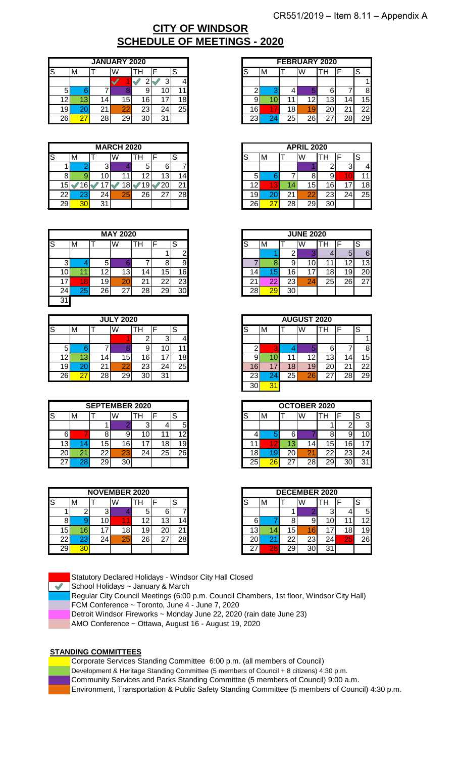# **SCHEDULE OF MEETINGS - 2020 CITY OF WINDSOR**

|                 |    |         | <b>JANUARY 2020</b> |    |    |                 |
|-----------------|----|---------|---------------------|----|----|-----------------|
|                 | M  |         | W                   |    |    | ບ               |
|                 |    |         |                     |    |    | 41              |
| 5               |    |         |                     |    |    |                 |
| 2               |    | $\vert$ | 15 <sup>1</sup>     |    |    | 18 <sub>l</sub> |
| 19 <sub>h</sub> | 20 | 21      | 22                  | 23 | 24 | 25              |
| 26              | 27 | 28      | 29                  | 30 | 31 |                 |

|    |                 |    |                 | <b>MARCH 2020</b> |    |    |           |                 |
|----|-----------------|----|-----------------|-------------------|----|----|-----------|-----------------|
| lS |                 | M  |                 | W                 |    | п  |           | c<br>C          |
|    |                 |    | 31              |                   |    | O  | 6         |                 |
|    |                 |    | 10 <sub>1</sub> |                   |    |    | 13        | 14 <sub>1</sub> |
|    | 5               |    |                 |                   |    | 9  | 20        | 21 <sub>1</sub> |
|    | 22 <sub>1</sub> | 23 | 241             |                   | 25 | 26 | っっ<br>ا ے | 28              |
|    | 29              | 30 | 31              |                   |    |    |           |                 |

|                 |        |                 | <b>MAY 2020</b> |    |     |          |    |    |
|-----------------|--------|-----------------|-----------------|----|-----|----------|----|----|
| ß               | M      |                 | W               |    | . . |          | S  |    |
|                 |        |                 |                 |    |     |          |    | ົ  |
| ⌒<br>د          |        | 5               |                 |    |     |          |    | 9  |
| 0               |        | ィっ              |                 | 13 | ≖   |          | .5 | 16 |
| ⇁<br>л.         | 8<br>и | 19 <sub>h</sub> |                 | 20 | ∠   | າາ<br>∠∠ |    | 23 |
| 24 <sub>l</sub> | 25     | 26 <sub>1</sub> |                 | 27 | 28  | 29       |    | 30 |
| 31              |        |                 |                 |    |     |          |    |    |

|                 |     |                 | <b>JULY 2020</b> |          |         |    |
|-----------------|-----|-----------------|------------------|----------|---------|----|
| ls              | M   |                 | W                | Ή        |         | S  |
|                 |     |                 |                  |          | ◠<br>v. |    |
| 5               |     |                 |                  |          | J       |    |
| 12 <sub>l</sub> | 13. | 14 <sub>1</sub> | 15 <sub>1</sub>  | 6        |         | 18 |
| 19              | 20  | ິີ<br>∠         | 22               | nr<br>د∠ | 24      | 25 |
| 26              | 27  | 28 <sub>1</sub> | 29               | 30       | 31      |    |

|                 |    |                 | <b>SEPTEMBER 2020</b> |                   |    |    |
|-----------------|----|-----------------|-----------------------|-------------------|----|----|
| ß               | м  |                 | W                     | п                 |    | S  |
|                 |    |                 |                       |                   |    | 5  |
| 6               |    |                 |                       |                   |    | ィっ |
| 13 <sub>h</sub> |    | 15              | 16                    |                   | 18 | 19 |
| 20 <sub>l</sub> | 21 | 22 <sub>1</sub> | 23                    | $\mathcal{L}^{4}$ | 25 | 26 |
| ົ               | 28 | 29              | 30                    |                   |    |    |

|                 |     |     | <b>NOVEMBER 2020</b> |     |    |     |
|-----------------|-----|-----|----------------------|-----|----|-----|
| ß               | M   |     | W                    | п   |    | S   |
|                 |     | 3   |                      |     | 6  |     |
|                 |     | 101 |                      |     | 13 | 14. |
| 15 <sup>1</sup> | 16. | 7   | 18.                  | و ا | 20 | 21  |
| 22 <sub>1</sub> | 23  | 24  | 25                   | 26  | ົ  | 28  |
| 29 <sub>1</sub> | 30  |     |                      |     |    |     |

Statutory Declared Holidays - Windsor City Hall Closed

 $\blacktriangleright$  School Holidays ~ January & March

Regular City Council Meetings (6:00 p.m. Council Chambers, 1st floor, Windsor City Hall) FCM Conference ~ Toronto, June 4 - June 7, 2020

Detroit Windsor Fireworks ~ Monday June 22, 2020 (rain date June 23)

AMO Conference ~ Ottawa, August 16 - August 19, 2020

### **STANDING COMMITTEES**

Corporate Services Standing Committee 6:00 p.m. (all members of Council)

Development & Heritage Standing Committee (5 members of Council + 8 citizens) 4:30 p.m.

Community Services and Parks Standing Committee (5 members of Council) 9:00 a.m.

Environment, Transportation & Public Safety Standing Committee (5 members of Council) 4:30 p.m.

|                   |    |                    | <b>JANUARY 2020</b> |    |                 |        |
|-------------------|----|--------------------|---------------------|----|-----------------|--------|
|                   | M  |                    | W                   | п  |                 | c<br>c |
|                   |    |                    |                     |    |                 | 41     |
| 5                 |    |                    |                     |    | 1 C             | $11 -$ |
| $\mathsf{2}\vert$ | 13 | 4                  | 15                  | 6  |                 | 18     |
| 9                 | 20 | $\mathcal{L}$<br>∠ | 22                  | 23 | 24 <sub>1</sub> | 25     |
| 61                | 27 | 28                 | 29                  | 30 | 31              |        |

|    |    |                 | <b>MARCH 2020</b> |    |          |    |
|----|----|-----------------|-------------------|----|----------|----|
|    | M  |                 | W                 | TН | ⊏        | O  |
|    |    |                 |                   | b  |          |    |
|    |    | 10I             |                   | 12 |          | 4  |
| 15 | 61 |                 |                   | ıч | 20       | ົ  |
| 22 | دے | 24 <sub>h</sub> | 25                | 26 | _റ−<br>∠ | 28 |
| 29 |    | 31              |                   |    |          |    |

|    |   |    | <b>MAY 2020</b> |     |          |           |
|----|---|----|-----------------|-----|----------|-----------|
|    | M |    | W               | I H |          | S         |
|    |   |    |                 |     |          | ⌒         |
| c  |   | w  |                 |     |          |           |
| 10 |   | 12 | 13              | 4   | .5'      | 6         |
| 17 | Я | 19 | 20              | 21  | ົ<br>ے   | <b>23</b> |
| 24 |   | 26 | ົ<br>، ے        | 28  | ററ<br>∠ສ | 30        |

|         |    | W  | TН        | E                                   | S   |
|---------|----|----|-----------|-------------------------------------|-----|
|         |    |    |           |                                     |     |
|         |    |    |           |                                     |     |
|         |    | 15 | 16        |                                     | 8   |
|         | 21 | ററ | 23        | ◠<br>24                             | 25I |
| דר<br>∠ |    |    | 30        | 31                                  |     |
|         |    |    |           |                                     |     |
|         | 'M |    | 141<br>28 | <b>JULY 2020</b><br>29 <sub>1</sub> |     |

|    |   |                 | <b>SEPTEMBER 2020</b> |     |    |        |
|----|---|-----------------|-----------------------|-----|----|--------|
|    | M |                 | W                     | тh. |    | c<br>o |
|    |   |                 |                       |     |    | ы      |
| հ  |   |                 |                       |     |    | $\sim$ |
| 13 |   | 15              | 16                    | 7   |    | 9      |
| 20 |   | 22 <sub>1</sub> | 23                    | 24  | 25 | 26     |
| 27 |   | 29              | 30                    |     |    |        |

|                 |           |                 | <b>NOVEMBER 2020</b> |    |    |           |
|-----------------|-----------|-----------------|----------------------|----|----|-----------|
|                 | M         |                 | W                    | Ħ  |    | o         |
|                 |           | . .             |                      | v. |    |           |
|                 |           | 10              |                      | 12 | ъJ | 4         |
| 15 <sup>1</sup> |           |                 | 8                    | 19 |    | ◠         |
| 22              | <b>AV</b> | 24 <sub>l</sub> | 25                   | 26 | ົ  | <b>28</b> |
| 29              |           |                 |                      |    |    |           |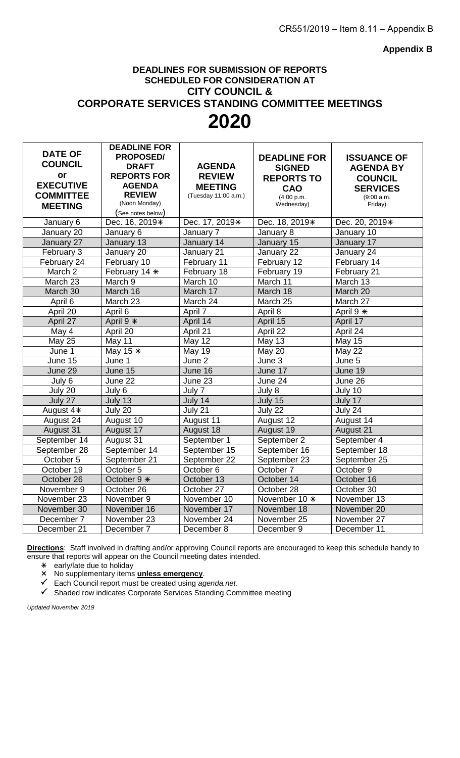**Appendix B**

# **DEADLINES FOR SUBMISSION OF REPORTS SCHEDULED FOR CONSIDERATION AT CITY COUNCIL & CORPORATE SERVICES STANDING COMMITTEE MEETINGS 2020**

|                         | <b>DEADLINE FOR</b>                 |                         |                            |                      |
|-------------------------|-------------------------------------|-------------------------|----------------------------|----------------------|
| <b>DATE OF</b>          | <b>PROPOSED/</b>                    |                         | <b>DEADLINE FOR</b>        | <b>ISSUANCE OF</b>   |
| <b>COUNCIL</b>          | <b>DRAFT</b>                        | <b>AGENDA</b>           | <b>SIGNED</b>              | <b>AGENDA BY</b>     |
| or                      | <b>REPORTS FOR</b>                  | <b>REVIEW</b>           | <b>REPORTS TO</b>          | <b>COUNCIL</b>       |
| <b>EXECUTIVE</b>        | <b>AGENDA</b>                       | <b>MEETING</b>          | CAO                        | <b>SERVICES</b>      |
| <b>COMMITTEE</b>        | <b>REVIEW</b>                       | (Tuesday 11:00 a.m.)    | (4:00 p.m.                 | (9:00 a.m.           |
| <b>MEETING</b>          | (Noon Monday)                       |                         | Wednesday)                 | Friday)              |
|                         | (See notes below)<br>Dec. 16, 2019* | Dec. 17, 2019*          | Dec. 18, 2019*             | Dec. 20, 2019*       |
| January 6<br>January 20 | January 6                           | January 7               | January 8                  | January 10           |
| January 27              | January 13                          | January 14              | January 15                 | January 17           |
| February 3              | January 20                          | January 21              | January 22                 | January 24           |
|                         |                                     |                         |                            |                      |
| February 24<br>March 2  | February 10                         | February 11             | February 12<br>February 19 | February 14          |
| March 23                | February 14 *<br>March 9            | February 18<br>March 10 | March 11                   | February 21          |
|                         |                                     |                         |                            | March 13             |
| March 30                | March 16<br>March 23                | March 17<br>March 24    | March 18<br>March 25       | March 20<br>March 27 |
| April 6                 |                                     |                         |                            |                      |
| April 20                | April 6                             | April 7                 | April 8                    | April 9 *            |
| April 27                | April 9 *                           | April 14                | April 15                   | April 17             |
| May 4                   | April 20                            | April 21                | April 22                   | April 24             |
| <b>May 25</b>           | May 11                              | <b>May 12</b>           | <b>May 13</b>              | <b>May 15</b>        |
| June 1                  | May 15 $*$                          | May 19                  | May 20                     | May 22               |
| June 15                 | June 1                              | June 2                  | June 3                     | June 5               |
| June 29                 | June 15                             | June 16                 | June 17                    | June 19              |
| July 6                  | June 22                             | June 23                 | June 24                    | June 26              |
| July 20                 | July 6                              | July 7                  | July 8                     | July 10              |
| July 27                 | July 13                             | July $14$               | July $15$                  | July 17              |
| August 4*               | July $20$                           | July 21                 | July 22                    | July 24              |
| August 24               | August 10                           | August 11               | August 12                  | August 14            |
| August 31               | August 17                           | August 18               | August 19                  | August 21            |
| September 14            | August 31                           | September 1             | September 2                | September 4          |
| September 28            | September 14                        | September 15            | September 16               | September 18         |
| October 5               | September 21                        | September 22            | September 23               | September 25         |
| October 19              | October 5                           | October 6               | October 7                  | October 9            |
| October 26              | October 9 *                         | October 13              | October 14                 | October 16           |
| November 9              | October 26                          | October 27              | October 28                 | October 30           |
| November 23             | November 9                          | November 10             | November 10 *              | November 13          |
| November 30             | November 16                         | November 17             | November 18                | November 20          |
| December 7              | November 23                         | November 24             | November 25                | November 27          |
| December 21             | December 7                          | December 8              | December 9                 | December 11          |

**Directions**: Staff involved in drafting and/or approving Council reports are encouraged to keep this schedule handy to ensure that reports will appear on the Council meeting dates intended.

early/late due to holiday

No supplementary items **unless emergency**.

Each Council report must be created using *agenda.net*.

 $\checkmark$  Shaded row indicates Corporate Services Standing Committee meeting

*Updated November 2019*